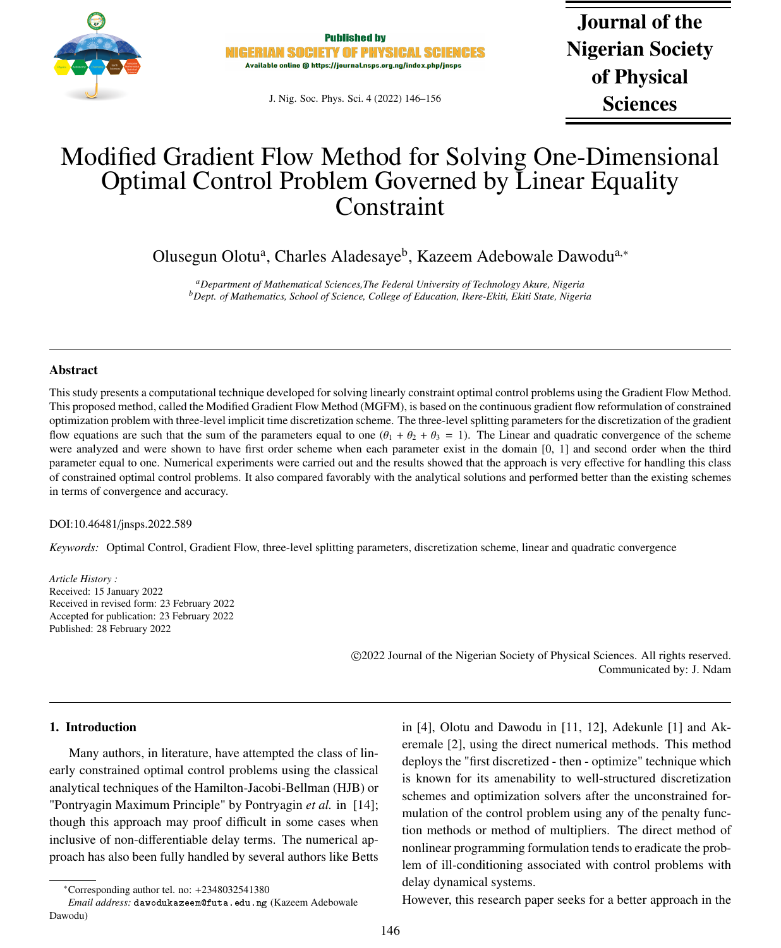

**Published by NIGERIAN SOCIETY OF PHYSICAL SCIEN** Available online @ https://journal.nsps.org.ng/index.php/jnsps

J. Nig. Soc. Phys. Sci. 4 (2022) 146–156

Journal of the Nigerian Society of Physical Sciences

# Modified Gradient Flow Method for Solving One-Dimensional Optimal Control Problem Governed by Linear Equality **Constraint**

Olusegun Olotu<sup>a</sup>, Charles Aladesaye<sup>b</sup>, Kazeem Adebowale Dawodu<sup>a,∗</sup>

*<sup>a</sup>Department of Mathematical Sciences,The Federal University of Technology Akure, Nigeria <sup>b</sup>Dept. of Mathematics, School of Science, College of Education, Ikere-Ekiti, Ekiti State, Nigeria*

## Abstract

This study presents a computational technique developed for solving linearly constraint optimal control problems using the Gradient Flow Method. This proposed method, called the Modified Gradient Flow Method (MGFM), is based on the continuous gradient flow reformulation of constrained optimization problem with three-level implicit time discretization scheme. The three-level splitting parameters for the discretization of the gradient flow equations are such that the sum of the parameters equal to one  $(\theta_1 + \theta_2 + \theta_3 = 1)$ . The Linear and quadratic convergence of the scheme were analyzed and were shown to have first order scheme when each parameter exist in the domain [0, 1] and second order when the third parameter equal to one. Numerical experiments were carried out and the results showed that the approach is very effective for handling this class of constrained optimal control problems. It also compared favorably with the analytical solutions and performed better than the existing schemes in terms of convergence and accuracy.

### DOI:10.46481/jnsps.2022.589

*Keywords:* Optimal Control, Gradient Flow, three-level splitting parameters, discretization scheme, linear and quadratic convergence

*Article History :* Received: 15 January 2022 Received in revised form: 23 February 2022 Accepted for publication: 23 February 2022 Published: 28 February 2022

> c 2022 Journal of the Nigerian Society of Physical Sciences. All rights reserved. Communicated by: J. Ndam

### 1. Introduction

Many authors, in literature, have attempted the class of linearly constrained optimal control problems using the classical analytical techniques of the Hamilton-Jacobi-Bellman (HJB) or "Pontryagin Maximum Principle" by Pontryagin *et al.* in [14]; though this approach may proof difficult in some cases when inclusive of non-differentiable delay terms. The numerical approach has also been fully handled by several authors like Betts

in [4], Olotu and Dawodu in [11, 12], Adekunle [1] and Akeremale [2], using the direct numerical methods. This method deploys the "first discretized - then - optimize" technique which is known for its amenability to well-structured discretization schemes and optimization solvers after the unconstrained formulation of the control problem using any of the penalty function methods or method of multipliers. The direct method of nonlinear programming formulation tends to eradicate the problem of ill-conditioning associated with control problems with delay dynamical systems.

However, this research paper seeks for a better approach in the

<sup>∗</sup>Corresponding author tel. no: +2348032541380

*Email address:* dawodukazeem@futa.edu.ng (Kazeem Adebowale Dawodu)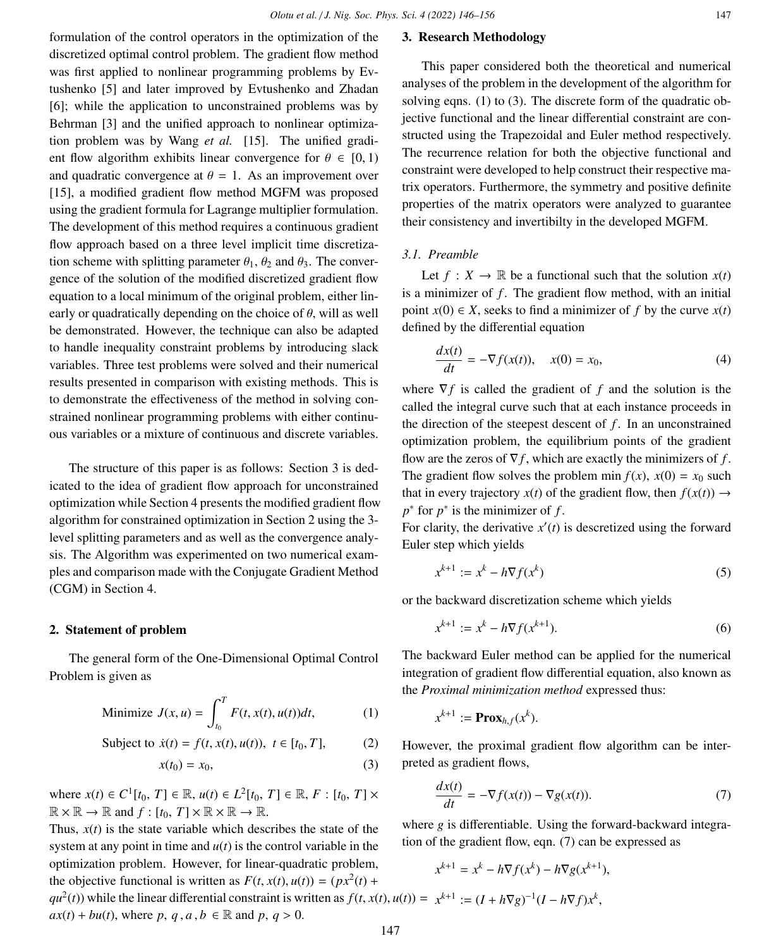formulation of the control operators in the optimization of the discretized optimal control problem. The gradient flow method was first applied to nonlinear programming problems by Evtushenko [5] and later improved by Evtushenko and Zhadan [6]; while the application to unconstrained problems was by Behrman [3] and the unified approach to nonlinear optimization problem was by Wang *et al.* [15]. The unified gradient flow algorithm exhibits linear convergence for  $\theta \in [0, 1)$ and quadratic convergence at  $\theta = 1$ . As an improvement over [15], a modified gradient flow method MGFM was proposed using the gradient formula for Lagrange multiplier formulation. The development of this method requires a continuous gradient flow approach based on a three level implicit time discretization scheme with splitting parameter  $\theta_1$ ,  $\theta_2$  and  $\theta_3$ . The convergence of the solution of the modified discretized gradient flow equation to a local minimum of the original problem, either linearly or quadratically depending on the choice of  $\theta$ , will as well be demonstrated. However, the technique can also be adapted to handle inequality constraint problems by introducing slack variables. Three test problems were solved and their numerical results presented in comparison with existing methods. This is to demonstrate the effectiveness of the method in solving constrained nonlinear programming problems with either continu-

The structure of this paper is as follows: Section 3 is dedicated to the idea of gradient flow approach for unconstrained optimization while Section 4 presents the modified gradient flow algorithm for constrained optimization in Section 2 using the 3 level splitting parameters and as well as the convergence analysis. The Algorithm was experimented on two numerical examples and comparison made with the Conjugate Gradient Method (CGM) in Section 4.

ous variables or a mixture of continuous and discrete variables.

### 2. Statement of problem

The general form of the One-Dimensional Optimal Control Problem is given as

Minimize 
$$
J(x, u) = \int_{t_0}^{T} F(t, x(t), u(t))dt,
$$
 (1)

Subject to 
$$
\dot{x}(t) = f(t, x(t), u(t)), t \in [t_0, T],
$$
 (2)

$$
x(t_0) = x_0,\tag{3}
$$

where  $x(t) \in C^1[t_0, T] \in \mathbb{R}, u(t) \in L^2[t_0, T] \in \mathbb{R}, F : [t_0, T] \times$ <br> $\mathbb{R} \times \mathbb{R} \longrightarrow \mathbb{R}$  and  $f : [t - T] \times \mathbb{R} \times \mathbb{R} \longrightarrow \mathbb{R}$  $\mathbb{R} \times \mathbb{R} \to \mathbb{R}$  and  $f : [t_0, T] \times \mathbb{R} \times \mathbb{R} \to \mathbb{R}$ .

Thus,  $x(t)$  is the state variable which describes the state of the system at any point in time and  $u(t)$  is the control variable in the optimization problem. However, for linear-quadratic problem, the objective functional is written as  $F(t, x(t), u(t)) = (px^2(t) +$ <br> $av^2(t)$  while the linear differential constraint is written as  $f(t, x(t))$ 

# 3. Research Methodology

This paper considered both the theoretical and numerical analyses of the problem in the development of the algorithm for solving eqns. (1) to (3). The discrete form of the quadratic objective functional and the linear differential constraint are constructed using the Trapezoidal and Euler method respectively. The recurrence relation for both the objective functional and constraint were developed to help construct their respective matrix operators. Furthermore, the symmetry and positive definite properties of the matrix operators were analyzed to guarantee their consistency and invertibilty in the developed MGFM.

### *3.1. Preamble*

Let  $f: X \to \mathbb{R}$  be a functional such that the solution  $x(t)$ is a minimizer of *f*. The gradient flow method, with an initial point  $x(0) \in X$ , seeks to find a minimizer of f by the curve  $x(t)$ defined by the differential equation

$$
\frac{dx(t)}{dt} = -\nabla f(x(t)), \quad x(0) = x_0,\tag{4}
$$

where ∇*f* is called the gradient of *f* and the solution is the called the integral curve such that at each instance proceeds in the direction of the steepest descent of  $f$ . In an unconstrained optimization problem, the equilibrium points of the gradient flow are the zeros of  $\nabla f$ , which are exactly the minimizers of *f*. The gradient flow solves the problem min  $f(x)$ ,  $x(0) = x_0$  such that in every trajectory  $x(t)$  of the gradient flow, then  $f(x(t)) \rightarrow$  $p^*$  for  $p^*$  is the minimizer of  $f$ .

For clarity, the derivative  $x'(t)$  is descretized using the forward Euler step which yields

$$
x^{k+1} := x^k - h \nabla f(x^k)
$$
 (5)

or the backward discretization scheme which yields

$$
x^{k+1} := x^k - h \nabla f(x^{k+1}).
$$
\n(6)

The backward Euler method can be applied for the numerical integration of gradient flow differential equation, also known as the *Proximal minimization method* expressed thus:

$$
x^{k+1} := \mathbf{Prox}_{h,f}(x^k).
$$

However, the proximal gradient flow algorithm can be interpreted as gradient flows,

$$
\frac{dx(t)}{dt} = -\nabla f(x(t)) - \nabla g(x(t)).
$$
\n(7)

where *g* is differentiable. Using the forward-backward integration of the gradient flow, eqn. (7) can be expressed as

$$
x^{k+1} = x^k - h\nabla f(x^k) - h\nabla g(x^{k+1}),
$$

 $qu^2(t)$ ) while the linear differential constraint is written as  $f(t, x(t), u(t)) = x^{k+1} := (I + h\nabla g)^{-1}(I - h\nabla f)x^k$  $ax(t) + bu(t)$ , where *p*, *q*, *a*, *b* ∈ R and *p*, *q* > 0. ,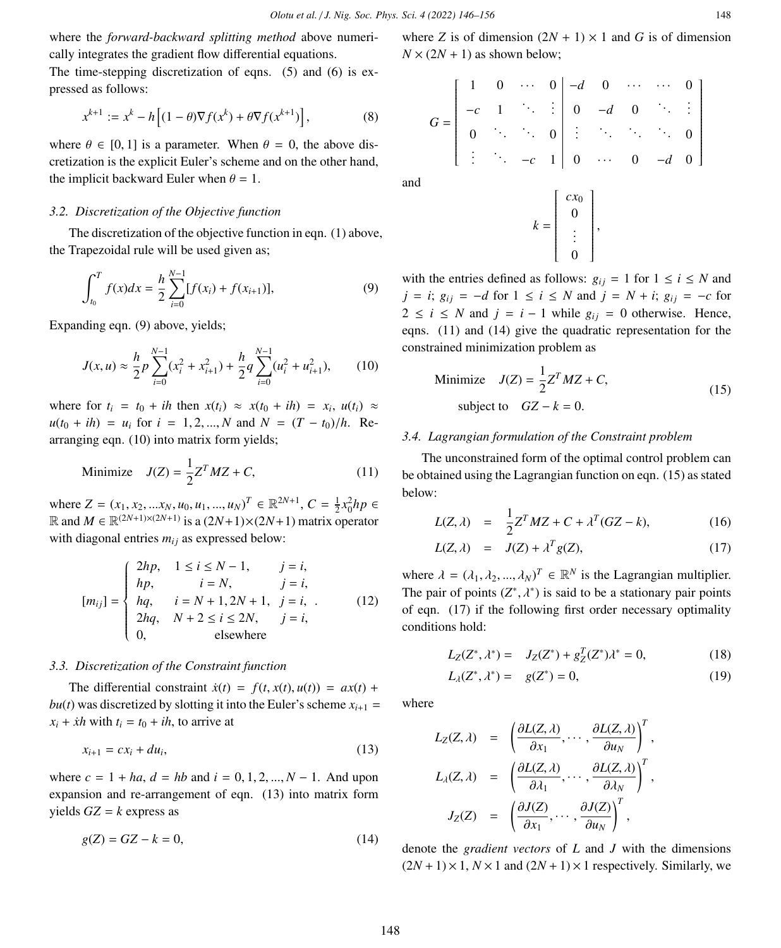where the *forward-backward splitting method* above numerically integrates the gradient flow differential equations.

The time-stepping discretization of eqns. (5) and (6) is expressed as follows:

$$
x^{k+1} := x^k - h\left[ (1 - \theta)\nabla f(x^k) + \theta \nabla f(x^{k+1}) \right],\tag{8}
$$

where  $\theta \in [0, 1]$  is a parameter. When  $\theta = 0$ , the above discretization is the explicit Euler's scheme and on the other hand, the implicit backward Euler when  $\theta = 1$ .

### *3.2. Discretization of the Objective function*

The discretization of the objective function in eqn. (1) above, the Trapezoidal rule will be used given as;

$$
\int_{t_0}^{T} f(x)dx = \frac{h}{2} \sum_{i=0}^{N-1} [f(x_i) + f(x_{i+1})],
$$
\n(9)

Expanding eqn. (9) above, yields;

$$
J(x, u) \approx \frac{h}{2} p \sum_{i=0}^{N-1} (x_i^2 + x_{i+1}^2) + \frac{h}{2} q \sum_{i=0}^{N-1} (u_i^2 + u_{i+1}^2), \qquad (10)
$$

where for  $t_i = t_0 + ih$  then  $x(t_i) \approx x(t_0 + ih) = x_i, u(t_i) \approx$  $u(t_0 + ih) = u_i$  for  $i = 1, 2, ..., N$  and  $N = (T - t_0)/h$ . Rearranging eqn. (10) into matrix form yields;

$$
\text{Minimize} \quad J(Z) = \frac{1}{2} Z^T M Z + C,\tag{11}
$$

where  $Z = (x_1, x_2, ..., x_N, u_0, u_1, ..., u_N)^T \in \mathbb{R}^{2N+1}, C = \frac{1}{2}x_0^2 h p \in \mathbb{R}^{2N+1}$  and  $M \in \mathbb{R}^{2N+1} \times (2N+1)$  is a  $(2N+1) \times (2N+1)$  metrix operator  $ℝ$  and  $M ∈ ℝ<sup>(2*N*+1)×(2*N*+1)</sup>$  is a  $(2*N*+1)×(2*N*+1)$  matrix operator with diagonal entries  $m_{ij}$  as expressed below:

$$
[m_{ij}] = \begin{cases} 2hp, & 1 \le i \le N-1, & j = i, \\ hp, & i = N, & j = i, \\ hq, & i = N+1, 2N+1, & j = i, \\ 2hq, & N+2 \le i \le 2N, & j = i, \\ 0, & \text{elsewhere} \end{cases}
$$
(12)

#### *3.3. Discretization of the Constraint function*

The differential constraint  $\dot{x}(t) = f(t, x(t), u(t)) = ax(t) +$ *bu*(*t*) was discretized by slotting it into the Euler's scheme  $x_{i+1}$  =  $x_i + \dot{x}h$  with  $t_i = t_0 + ih$ , to arrive at

$$
x_{i+1} = cx_i + du_i,\tag{13}
$$

where  $c = 1 + ha$ ,  $d = hb$  and  $i = 0, 1, 2, ..., N - 1$ . And upon expansion and re-arrangement of eqn. (13) into matrix form yields  $GZ = k$  express as

$$
g(Z) = GZ - k = 0,\t\t(14)
$$

where *Z* is of dimension  $(2N + 1) \times 1$  and *G* is of dimension  $N \times (2N + 1)$  as shown below;

$$
G = \left[\begin{array}{cccc|cccc} 1 & 0 & \cdots & 0 & -d & 0 & \cdots & \cdots & 0 \\ -c & 1 & \ddots & \vdots & 0 & -d & 0 & \ddots & \vdots \\ 0 & \ddots & \ddots & 0 & \vdots & \ddots & \ddots & \ddots & 0 \\ \vdots & \ddots & -c & 1 & 0 & \cdots & 0 & -d & 0 \end{array}\right]
$$

and

$$
k = \left[ \begin{array}{c} cx_0 \\ 0 \\ \vdots \\ 0 \end{array} \right],
$$

with the entries defined as follows:  $g_{ij} = 1$  for  $1 \le i \le N$  and *j* = *i*;  $g_{ij}$  = −*d* for 1 ≤ *i* ≤ *N* and *j* = *N* + *i*;  $g_{ij}$  = −*c* for  $2 \le i \le N$  and  $j = i - 1$  while  $g_{ij} = 0$  otherwise. Hence, eqns. (11) and (14) give the quadratic representation for the constrained minimization problem as

$$
\text{Minimize} \quad J(Z) = \frac{1}{2} Z^T M Z + C,
$$
\n
$$
\text{subject to} \quad GZ - k = 0.
$$
\n
$$
\tag{15}
$$

## *3.4. Lagrangian formulation of the Constraint problem*

The unconstrained form of the optimal control problem can be obtained using the Lagrangian function on eqn. (15) as stated below:

$$
L(Z,\lambda) = \frac{1}{2}Z^T M Z + C + \lambda^T (GZ - k), \qquad (16)
$$

$$
L(Z, \lambda) = J(Z) + \lambda^T g(Z), \qquad (17)
$$

where  $\lambda = (\lambda_1, \lambda_2, ..., \lambda_N)^T \in \mathbb{R}^N$  is the Lagrangian multiplier.<br>The pair of points  $(T^* - \lambda^*)$  is said to be a stationary pair points The pair of points  $(Z^*, \lambda^*)$  is said to be a stationary pair points<br>of an  $(17)$  if the following first order peoplesny optimality of eqn. (17) if the following first order necessary optimality conditions hold:

$$
L_Z(Z^*, \lambda^*) = J_Z(Z^*) + g_Z^T(Z^*)\lambda^* = 0,
$$
\n(18)

$$
L_{\lambda}(Z^*, \lambda^*) = g(Z^*) = 0,
$$
\n(19)

where

$$
L_Z(Z, \lambda) = \left( \frac{\partial L(Z, \lambda)}{\partial x_1}, \cdots, \frac{\partial L(Z, \lambda)}{\partial u_N} \right)^T,
$$
  
\n
$$
L_\lambda(Z, \lambda) = \left( \frac{\partial L(Z, \lambda)}{\partial \lambda_1}, \cdots, \frac{\partial L(Z, \lambda)}{\partial \lambda_N} \right)^T,
$$
  
\n
$$
J_Z(Z) = \left( \frac{\partial J(Z)}{\partial x_1}, \cdots, \frac{\partial J(Z)}{\partial u_N} \right)^T,
$$

denote the *gradient vectors* of *L* and *J* with the dimensions  $(2N + 1) \times 1$ ,  $N \times 1$  and  $(2N + 1) \times 1$  respectively. Similarly, we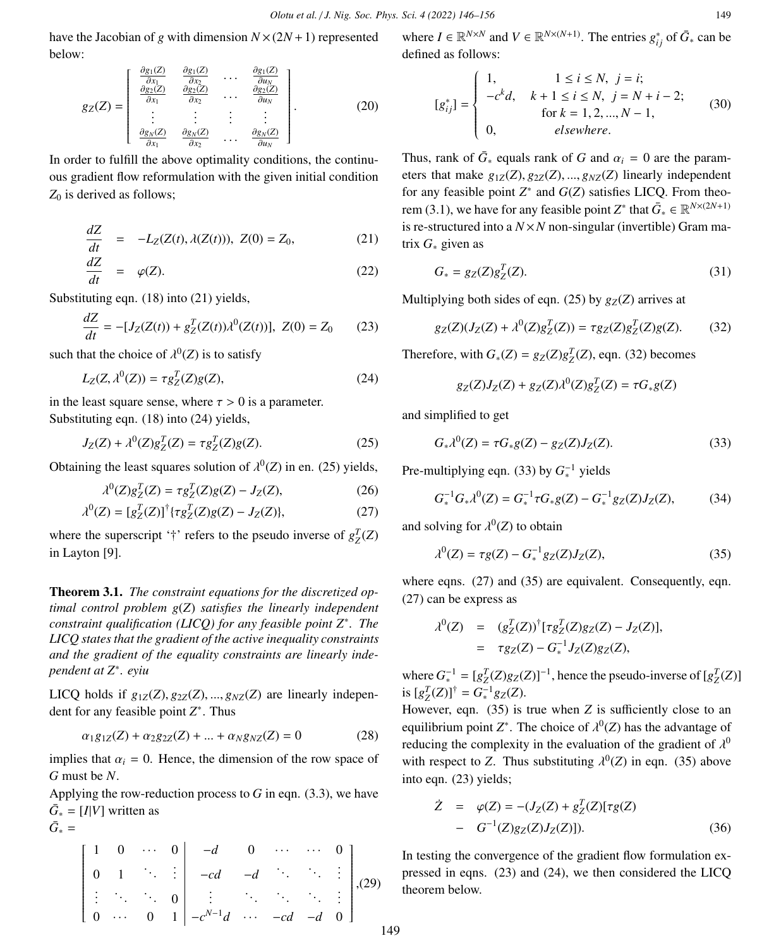have the Jacobian of *g* with dimension  $N \times (2N + 1)$  represented below:

$$
g_Z(Z) = \begin{bmatrix} \frac{\partial g_1(Z)}{\partial x_1} & \frac{\partial g_1(Z)}{\partial x_2} & \cdots & \frac{\partial g_1(Z)}{\partial u_N} \\ \frac{\partial g_2(Z)}{\partial x_1} & \frac{\partial g_2(Z)}{\partial x_2} & \cdots & \frac{\partial g_2(Z)}{\partial u_N} \\ \vdots & \vdots & \vdots & \vdots \\ \frac{\partial g_N(Z)}{\partial x_1} & \frac{\partial g_N(Z)}{\partial x_2} & \cdots & \frac{\partial g_N(Z)}{\partial u_N} \end{bmatrix} .
$$
 (20)

In order to fulfill the above optimality conditions, the continuous gradient flow reformulation with the given initial condition *Z*<sup>0</sup> is derived as follows;

$$
\frac{dZ}{dt} = -L_Z(Z(t), \lambda(Z(t))), \ Z(0) = Z_0,\tag{21}
$$

$$
\frac{dZ}{dt} = \varphi(Z). \tag{22}
$$

Substituting eqn. (18) into (21) yields,

$$
\frac{dZ}{dt} = -[J_Z(Z(t)) + g_Z^T(Z(t))\lambda^0(Z(t))], \ Z(0) = Z_0 \tag{23}
$$

such that the choice of  $\lambda^0(Z)$  is to satisfy

$$
L_Z(Z, \lambda^0(Z)) = \tau g_Z^T(Z) g(Z),
$$
 (24)

in the least square sense, where  $\tau > 0$  is a parameter. Substituting eqn. (18) into (24) yields,

$$
J_Z(Z) + \lambda^0(Z)g_Z^T(Z) = \tau g_Z^T(Z)g(Z).
$$
 (25)

Obtaining the least squares solution of  $\lambda^0(Z)$  in en. (25) yields,

$$
\lambda^{0}(Z)g_{Z}^{T}(Z) = \tau g_{Z}^{T}(Z)g(Z) - J_{Z}(Z),
$$
\n(26)

$$
\lambda^{0}(Z) = [g_{Z}^{T}(Z)]^{\dagger} \{ \tau g_{Z}^{T}(Z)g(Z) - J_{Z}(Z) \}, \tag{27}
$$

where the superscript '†' refers to the pseudo inverse of  $g_Z^T(Z)$ in Layton [9].

Theorem 3.1. *The constraint equations for the discretized optimal control problem g*(*Z*) *satisfies the linearly independent constraint qualification (LICQ) for any feasible point Z*<sup>∗</sup> *. The LICQ states that the gradient of the active inequality constraints and the gradient of the equality constraints are linearly independent at Z*<sup>∗</sup> *. eyiu*

LICQ holds if  $g_{1Z}(Z), g_{2Z}(Z), ..., g_{NZ}(Z)$  are linearly independent for any feasible point *Z* ∗ . Thus

$$
\alpha_1 g_{1Z}(Z) + \alpha_2 g_{2Z}(Z) + \dots + \alpha_N g_{NZ}(Z) = 0 \tag{28}
$$

implies that  $\alpha_i = 0$ . Hence, the dimension of the row space of *G* must be *N*.

Applying the row-reduction process to  $G$  in eqn.  $(3.3)$ , we have  $\bar{G}_* = [I|V]$  written as  $\bar{G}_* =$ 

$$
\begin{bmatrix} 1 & 0 & \cdots & 0 & -d & 0 & \cdots & \cdots & 0 \\ 0 & 1 & \ddots & \vdots & -cd & -d & \ddots & \ddots & \vdots \\ \vdots & \ddots & \ddots & 0 & \vdots & \ddots & \ddots & \ddots & \vdots \\ 0 & \cdots & 0 & 1 & -c^{N-1}d & \cdots & -cd & -d & 0 \end{bmatrix}
$$
, (29)

where  $I \in \mathbb{R}^{N \times N}$  and  $V \in \mathbb{R}^{N \times (N+1)}$ . The entries  $g_{ij}^*$  of  $\bar{G}_*$  can be defined as follows:

$$
[g_{ij}^*] = \begin{cases} 1, & 1 \le i \le N, \ j = i; \\ -c^k d, & k+1 \le i \le N, \ j = N+i-2; \\ \text{for } k = 1, 2, ..., N-1, \\ 0, & \text{elsewhere.} \end{cases}
$$
(30)

Thus, rank of  $\bar{G}_*$  equals rank of *G* and  $\alpha_i = 0$  are the parameters that make  $g_{\alpha_i}(Z)$ ,  $g_{\alpha_i}(Z)$ , linearly independent eters that make  $g_{1Z}(Z), g_{2Z}(Z), ..., g_{NZ}(Z)$  linearly independent for any feasible point  $Z$ <sup>∗</sup> and  $G$ (*Z*) satisfies LICQ. From theorem (3.1), we have for any feasible point  $Z^*$  that  $\bar{G}_* \in \mathbb{R}^{N \times (2N+1)}$ is re-structured into a  $N \times N$  non-singular (invertible) Gram matrix *G*<sup>∗</sup> given as

$$
G_* = g_Z(Z)g_Z^T(Z). \tag{31}
$$

Multiplying both sides of eqn. (25) by  $g_Z(Z)$  arrives at

$$
g_Z(Z)(J_Z(Z) + \lambda^0(Z)g_Z^T(Z)) = \tau g_Z(Z)g_Z^T(Z)g(Z). \tag{32}
$$

Therefore, with  $G_*(Z) = g_Z(Z)g_Z^T(Z)$ , eqn. (32) becomes

$$
g_Z(Z)J_Z(Z) + g_Z(Z)\lambda^0(Z)g_Z^T(Z) = \tau G_*g(Z)
$$

and simplified to get

$$
G_*\lambda^0(Z) = \tau G_*g(Z) - g_Z(Z)J_Z(Z). \tag{33}
$$

Pre-multiplying eqn. (33) by  $G_*^{-1}$  yields

$$
G_*^{-1}G_*\lambda^0(Z) = G_*^{-1}\tau G_*g(Z) - G_*^{-1}g_Z(Z)J_Z(Z),\tag{34}
$$

and solving for  $\lambda^0(Z)$  to obtain

$$
\lambda^{0}(Z) = \tau g(Z) - G_{*}^{-1} g_{Z}(Z) J_{Z}(Z), \qquad (35)
$$

where eqns. (27) and (35) are equivalent. Consequently, eqn. (27) can be express as

$$
\lambda^{0}(Z) = (g_{Z}^{T}(Z))^{\dagger} [\tau g_{Z}^{T}(Z)g_{Z}(Z) - J_{Z}(Z)],
$$
  
=  $\tau g_{Z}(Z) - G_{*}^{-1} J_{Z}(Z)g_{Z}(Z),$ 

where  $G_*^{-1} = [g_Z^T(Z)g_Z(Z)]^{-1}$ , hence the pseudo-inverse of  $[g_Z^T(Z)]$ is  $[g_Z^T(Z)]^{\dagger} = G_*^{-1}g_Z(Z)$ .

However, eqn. (35) is true when *Z* is sufficiently close to an equilibrium point  $Z^*$ . The choice of  $\lambda^0(Z)$  has the advantage of reducing the complexity in the avaluation of the gradient of  $\lambda^0$ reducing the complexity in the evaluation of the gradient of  $\lambda^0$ <br>with reconst to Z. Thus substituting  $\lambda^0$ (Z) in eqn. (35) obous with respect to *Z*. Thus substituting  $\lambda^0(Z)$  in eqn. (35) above<br>into eqn. (23) viables into eqn. (23) yields;

$$
\dot{Z} = \varphi(Z) = -(J_Z(Z) + g_Z^T(Z)[\tau g(Z)) - G^{-1}(Z)g_Z(Z)J_Z(Z)]). \tag{36}
$$

In testing the convergence of the gradient flow formulation expressed in eqns. (23) and (24), we then considered the LICQ theorem below.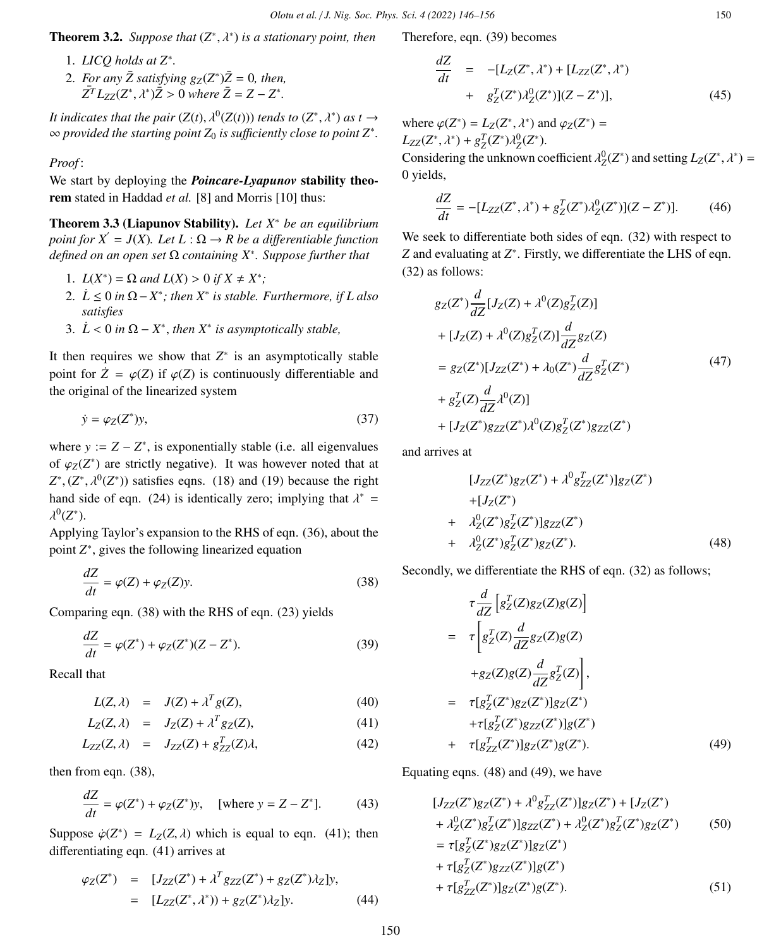**Theorem 3.2.** *Suppose that*  $(Z^*, \lambda^*)$  *is a stationary point, then* 

- 1. *LICQ holds at Z*<sup>∗</sup> *.*
- 2. *For any*  $\bar{Z}$  *satisfying*  $g_Z(Z^*)\bar{Z} = 0$ *, then,*  $Z^T L_{ZZ}(Z^*, \lambda^*) \bar{Z} > 0$  where  $\bar{Z} = Z - Z^*$ .

*It indicates that the pair*  $(Z(t), \lambda^0(Z(t)))$  *tends to*  $(Z^*, \lambda^*)$  *as t*  $\rightarrow$   $\infty$  *provided the starting point*  $Z$  *is sufficiently close to point*  $Z^*$ ∞ *provided the starting point Z*<sup>0</sup> *is su*ffi*ciently close to point Z*<sup>∗</sup> *.*

### *Proof* :

We start by deploying the *Poincare-Lyapunov* stability theorem stated in Haddad *et al.* [8] and Morris [10] thus:

Theorem 3.3 (Liapunov Stability). *Let X*<sup>∗</sup> *be an equilibrium point for*  $X^{'} = J(X)$ *. Let*  $L : \Omega \rightarrow R$  *be a differentiable function defined on an open set* Ω *containing X*<sup>∗</sup> *. Suppose further that*

- 1.  $L(X^*) = \Omega$  and  $L(X) > 0$  if  $X \neq X^*$ ;<br>2.  $i \leq 0$  in  $\Omega$ ,  $X^*$ , then  $X^*$  is stable.
- 2.  $\dot{L}$  ≤ 0 *in*  $\Omega$   $X^*$ ; then  $X^*$  is stable. Furthermore, if L also *satisfies*
- 3.  $\dot{L}$  < 0 *in*  $\Omega$   $X^*$ , *then*  $X^*$  *is asymptotically stable,*

It then requires we show that  $Z^*$  is an asymptotically stable point for  $\dot{Z} = \varphi(Z)$  if  $\varphi(Z)$  is continuously differentiable and the original of the linearized system

$$
\dot{y} = \varphi_Z(Z^*)y,\tag{37}
$$

where  $y := Z - Z^*$ , is exponentially stable (i.e. all eigenvalues of  $\varphi_Z(Z^*)$  are strictly negative). It was however noted that at  $Z^*$  ( $Z^*$   $(2^*)$ ) existing game (18) and (10) because the right  $Z^*$ ,  $(Z^*, \lambda^0(Z^*))$  satisfies eqns. (18) and (19) because the right<br>band side of son. (24) is identically zero; implying that  $\lambda^* =$ hand side of eqn. (24) is identically zero; implying that  $\lambda^* = \lambda^0 (7^*)$  $^{0}(Z^{*}).$ 

Applying Taylor's expansion to the RHS of eqn. (36), about the point *Z*<sup>∗</sup>, gives the following linearized equation

$$
\frac{dZ}{dt} = \varphi(Z) + \varphi_Z(Z) y.
$$
\n(38)

Comparing eqn. (38) with the RHS of eqn. (23) yields

$$
\frac{dZ}{dt} = \varphi(Z^*) + \varphi_Z(Z^*)(Z - Z^*).
$$
 (39)

Recall that

$$
L(Z, \lambda) = J(Z) + \lambda^T g(Z), \tag{40}
$$

$$
L_Z(Z, \lambda) = J_Z(Z) + \lambda^T g_Z(Z), \tag{41}
$$

$$
L_{ZZ}(Z,\lambda) = J_{ZZ}(Z) + g_{ZZ}^T(Z)\lambda, \qquad (42)
$$

then from eqn. (38),

$$
\frac{dZ}{dt} = \varphi(Z^*) + \varphi_Z(Z^*)y, \quad \text{[where } y = Z - Z^*]. \tag{43}
$$

Suppose  $\dot{\varphi}(Z^*) = L_Z(Z, \lambda)$  which is equal to eqn. (41); then differentiating eqn. (41) errings at differentiating eqn. (41) arrives at

$$
\varphi_Z(Z^*) = [J_{ZZ}(Z^*) + \lambda^T g_{ZZ}(Z^*) + g_Z(Z^*) \lambda_Z] y, \n= [L_{ZZ}(Z^*, \lambda^*)) + g_Z(Z^*) \lambda_Z] y.
$$
\n(44)

Therefore, eqn. (39) becomes

$$
\frac{dZ}{dt} = -[L_Z(Z^*, \lambda^*) + [L_{ZZ}(Z^*, \lambda^*) + g_Z^T(Z^*)\lambda_Z^0(Z^*)](Z - Z^*)],
$$
\n(45)

where  $\varphi(Z^*) = L_Z(Z^*, \lambda^*)$  and  $\varphi_Z(Z^*) = L_Z(Z^*, \lambda^*) + \sigma^T(Z^*) + \sigma^T(Z^*)$  $L_{ZZ}(Z^*, \lambda^*) + g_Z^T(Z^*)\lambda_Z^0(Z^*).$ <br>Considering the unknown co

Considering the unknown coefficient  $\lambda_Z^0(Z^*)$  and setting  $L_Z(Z^*, \lambda^*) = 0$  vialde 0 yields,

$$
\frac{dZ}{dt} = -[L_{ZZ}(Z^*, \lambda^*) + g_Z^T(Z^*)\lambda_Z^0(Z^*)](Z - Z^*)].\tag{46}
$$

We seek to differentiate both sides of eqn. (32) with respect to Z and evaluating at Z<sup>\*</sup>. Firstly, we differentiate the LHS of eqn. (32) as follows:

$$
g_Z(Z^*)\frac{d}{dZ}[J_Z(Z) + \lambda^0(Z)g_Z^T(Z)]
$$
  
+  $[J_Z(Z) + \lambda^0(Z)g_Z^T(Z)]\frac{d}{dZ}g_Z(Z)$   
=  $g_Z(Z^*)[J_{ZZ}(Z^*) + \lambda_0(Z^*)\frac{d}{dZ}g_Z^T(Z^*)$  (47)  
+  $g_Z^T(Z)\frac{d}{dZ}\lambda^0(Z)]$   
+  $[J_Z(Z^*)g_{ZZ}(Z^*)\lambda^0(Z)g_Z^T(Z^*)g_{ZZ}(Z^*)$ 

and arrives at

$$
[J_{ZZ}(Z^*)g_Z(Z^*) + \lambda^0 g_{ZZ}^T(Z^*)]g_Z(Z^*)
$$
  
+ 
$$
[J_Z(Z^*)
$$
  
+ 
$$
\lambda^0_Z(Z^*)g_Z^T(Z^*)]g_{ZZ}(Z^*)
$$
  
+ 
$$
\lambda^0_Z(Z^*)g_Z^T(Z^*)g_Z(Z^*).
$$
 (48)

Secondly, we differentiate the RHS of eqn.  $(32)$  as follows;

$$
\tau \frac{d}{dZ} \left[ g_Z^T(Z) g_Z(Z) g(Z) \right]
$$
\n
$$
= \tau \left[ g_Z^T(Z) \frac{d}{dZ} g_Z(Z) g(Z) \right]
$$
\n
$$
+ g_Z(Z) g(Z) \frac{d}{dZ} g_Z^T(Z) \right],
$$
\n
$$
= \tau \left[ g_Z^T(Z^*) g_Z(Z^*) \right] g_Z(Z^*)
$$
\n
$$
+ \tau \left[ g_Z^T(Z^*) g_Z(Z^*) \right] g(Z^*)
$$
\n
$$
+ \tau \left[ g_Z^T(Z^*) \right] g_Z(Z^*) g(Z^*).
$$
\n(49)

Equating eqns. (48) and (49), we have

$$
[J_{ZZ}(Z^*)g_Z(Z^*) + \lambda^0 g_{ZZ}^T(Z^*)]g_Z(Z^*) + [J_Z(Z^*)+ \lambda^0_Z(Z^*)g_Z^T(Z^*)]g_{ZZ}(Z^*) + \lambda^0_Z(Z^*)g_Z^T(Z^*)g_Z(Z^*)
$$
(50)  
=  $\tau[g_Z^T(Z^*)g_Z(Z^*)]g_Z(Z^*)+ \tau[g_Z^T(Z^*)g_{ZZ}(Z^*)]g(Z^*)+ \tau[g_{ZZ}^T(Z^*)]g_Z(Z^*)g(Z^*).$  (51)

150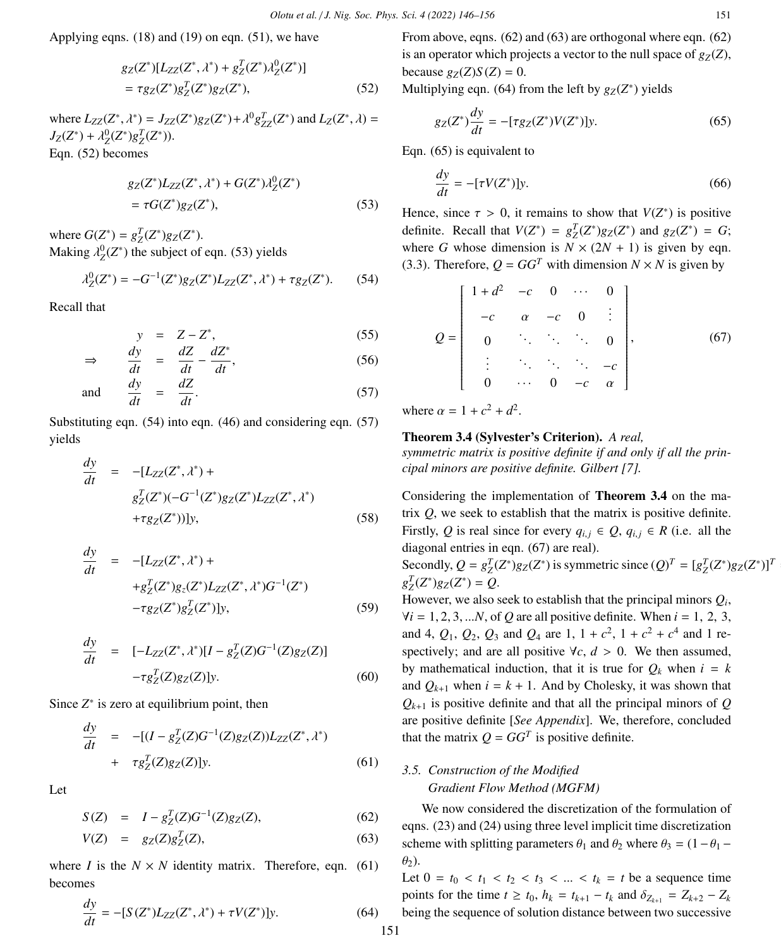Applying eqns. (18) and (19) on eqn. (51), we have

$$
g_Z(Z^*)[L_{ZZ}(Z^*, \lambda^*) + g_Z^T(Z^*)\lambda_Z^0(Z^*)]
$$
  
=  $\tau g_Z(Z^*)g_Z^T(Z^*)g_Z(Z^*),$  (52)

where  $L_{ZZ}(Z^*, \lambda^*) = J_{ZZ}(Z^*)g_Z(Z^*) + \lambda^0 g_{ZZ}^T(Z^*)$  and  $L_Z(Z^*, \lambda) =$ <br> $L_Z(Z^*) + \lambda^0 (Z^*) \circ T(Z^*)$  $J_Z(Z^*) + \lambda_Z^0(Z^*)g_Z^T(Z^*)$ ). Eqn. (52) becomes

$$
g_Z(Z^*)L_{ZZ}(Z^*, \lambda^*) + G(Z^*)\lambda_Z^0(Z^*)
$$
  
=  $\tau G(Z^*)g_Z(Z^*),$  (53)

where  $G(Z^*) = g_Z^T(Z^*)g_Z(Z^*)$ . Making  $\lambda_Z^0(Z^*)$  the subject of eqn. (53) yields

$$
\lambda_Z^0(Z^*) = -G^{-1}(Z^*)g_Z(Z^*)L_{ZZ}(Z^*,\lambda^*) + \tau g_Z(Z^*).
$$
 (54)

Recall that

$$
y = Z - Z^*, \tag{55}
$$

$$
\Rightarrow \qquad \frac{dy}{dt} = \frac{dZ}{dt} - \frac{dZ^*}{dt},\tag{56}
$$

and 
$$
\frac{dy}{dt} = \frac{dZ}{dt}
$$
. (57)

Substituting eqn. (54) into eqn. (46) and considering eqn. (57) yields

$$
\frac{dy}{dt} = -[L_{ZZ}(Z^*, \lambda^*) +\ng_Z^T(Z^*)(-G^{-1}(Z^*)g_Z(Z^*)L_{ZZ}(Z^*, \lambda^*)\n+\tau g_Z(Z^*))]y,
$$
\n(58)

$$
\frac{dy}{dt} = -[L_{ZZ}(Z^*, \lambda^*) ++g_Z^T(Z^*)g_z(Z^*)L_{ZZ}(Z^*, \lambda^*)G^{-1}(Z^*)-\tau g_Z(Z^*)g_Z^T(Z^*)]y,
$$
(59)

$$
\frac{dy}{dt} = [-L_{ZZ}(Z^*, \lambda^*)[I - g_Z^T(Z)G^{-1}(Z)g_Z(Z)] - \tau g_Z^T(Z)g_Z(Z)]y.
$$
\n(60)

Since  $Z^*$  is zero at equilibrium point, then

$$
\frac{dy}{dt} = -[(I - g_Z^T(Z)G^{-1}(Z)g_Z(Z))L_{ZZ}(Z^*, \lambda^*) \n+ \tau g_Z^T(Z)g_Z(Z)]y.
$$
\n(61)

Let

$$
S(Z) = I - g_Z^T(Z)G^{-1}(Z)g_Z(Z), \tag{62}
$$

$$
V(Z) = g_Z(Z)g_Z^T(Z),
$$
\n(63)

where *I* is the  $N \times N$  identity matrix. Therefore, eqn. (61) becomes

$$
\frac{dy}{dt} = -[S(Z^*)L_{ZZ}(Z^*, \lambda^*) + \tau V(Z^*)]y.
$$
\n(64)

From above, eqns. (62) and (63) are orthogonal where eqn. (62) is an operator which projects a vector to the null space of  $g_Z(Z)$ , because  $g_Z(Z)S(Z) = 0$ .

Multiplying eqn. (64) from the left by  $g_Z(Z^*)$  yields

$$
g_Z(Z^*)\frac{dy}{dt} = -[\tau g_Z(Z^*)V(Z^*)]y.
$$
 (65)

Eqn. (65) is equivalent to

$$
\frac{dy}{dt} = -[\tau V(Z^*)]y.
$$
\n(66)

Hence, since  $\tau > 0$ , it remains to show that  $V(Z^*)$  is positive definite. Bessell that  $V(Z^*) = e^{T}(Z^*)$  and  $e^{T}(Z^*) = C$ . definite. Recall that  $V(Z^*) = g_Z^T(Z^*)g_Z(Z^*)$  and  $g_Z(Z^*) = G$ ; where *G* whose dimension is  $N \times (2N + 1)$  is given by eqn. (3.3). Therefore,  $Q = GG^T$  with dimension  $N \times N$  is given by

$$
Q = \begin{bmatrix} 1 + d^2 & -c & 0 & \cdots & 0 \\ -c & \alpha & -c & 0 & \vdots \\ 0 & \ddots & \ddots & \ddots & 0 \\ \vdots & \ddots & \ddots & \ddots & -c \\ 0 & \cdots & 0 & -c & \alpha \end{bmatrix},
$$
(67)

where  $\alpha = 1 + c^2 + d^2$ .

# Theorem 3.4 (Sylvester's Criterion). *A real,*

*symmetric matrix is positive definite if and only if all the principal minors are positive definite. Gilbert [7].*

Considering the implementation of Theorem 3.4 on the matrix *Q*, we seek to establish that the matrix is positive definite. Firstly, Q is real since for every  $q_{i,j} \in Q$ ,  $q_{i,j} \in R$  (i.e. all the diagonal entries in eqn. (67) are real). Secondly,  $Q = g_Z^T(Z^*)g_Z(Z^*)$  is symmetric since  $(Q)^T = [g_Z^T(Z^*)g_Z(Z^*)]^T$  $g_Z^T(Z^*)g_Z(Z^*) = Q.$ However, we also seek to establish that the principal minors  $Q_i$ ,

 $\forall i = 1, 2, 3, \dots N$ , of *Q* are all positive definite. When  $i = 1, 2, 3$ , and 4,  $Q_1$ ,  $Q_2$ ,  $Q_3$  and  $Q_4$  are 1,  $1 + c^2$ ,  $1 + c^2 + c^4$  and 1 respectively; and are all positive  $\forall c, d > 0$ . We then assumed, by mathematical induction, that it is true for  $Q_k$  when  $i = k$ and  $Q_{k+1}$  when  $i = k + 1$ . And by Cholesky, it was shown that  $Q_{k+1}$  is positive definite and that all the principal minors of  $Q$ are positive definite [*See Appendix*]. We, therefore, concluded that the matrix  $Q = GG^T$  is positive definite.

# *3.5. Construction of the Modified Gradient Flow Method (MGFM)*

We now considered the discretization of the formulation of eqns. (23) and (24) using three level implicit time discretization scheme with splitting parameters  $\theta_1$  and  $\theta_2$  where  $\theta_3 = (1 - \theta_1 - \theta_2)$  $\theta_2$ ).

Let  $0 = t_0 < t_1 < t_2 < t_3 < ... < t_k = t$  be a sequence time points for the time *t* ≥ *t*<sub>0</sub>, *h*<sub>*k*</sub> = *t*<sub>*k*+1</sub> − *t*<sub>*k*</sub> and  $δ_{Z_{k+1}} = Z_{k+2} - Z_k$ being the sequence of solution distance between two successive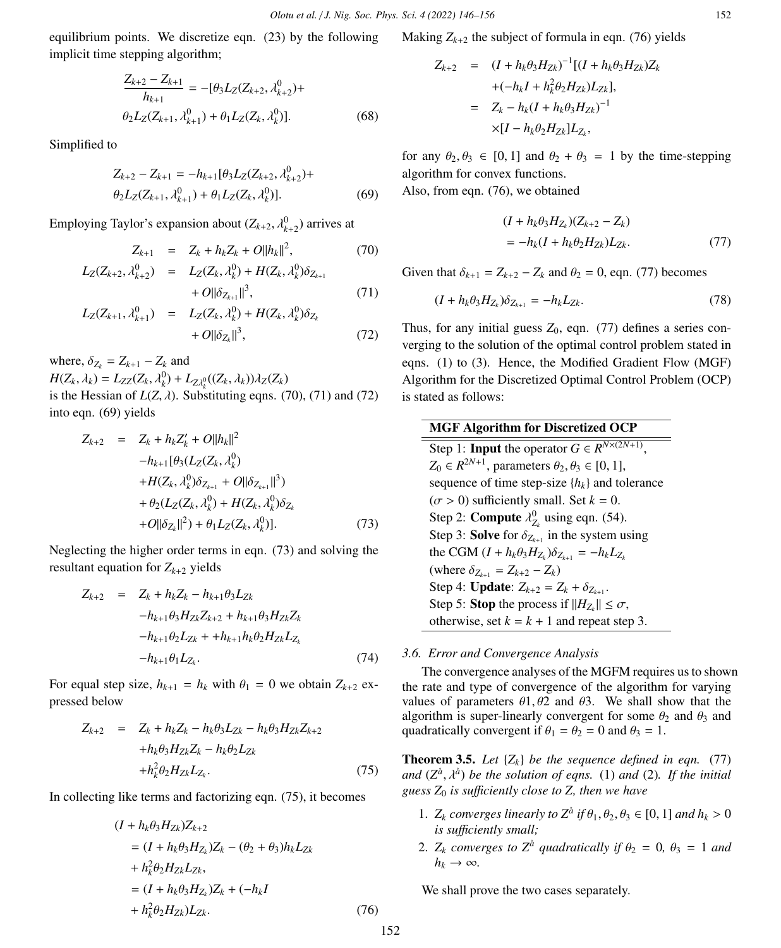equilibrium points. We discretize eqn. (23) by the following implicit time stepping algorithm;

$$
\frac{Z_{k+2} - Z_{k+1}}{h_{k+1}} = -[\theta_3 L_Z(Z_{k+2}, \lambda_{k+2}^0) +
$$
  

$$
\theta_2 L_Z(Z_{k+1}, \lambda_{k+1}^0) + \theta_1 L_Z(Z_k, \lambda_k^0)].
$$
 (68)

Simplified to

$$
Z_{k+2} - Z_{k+1} = -h_{k+1}[\theta_3 L_Z(Z_{k+2}, \lambda_{k+2}^0) +
$$
  

$$
\theta_2 L_Z(Z_{k+1}, \lambda_{k+1}^0) + \theta_1 L_Z(Z_k, \lambda_k^0)].
$$
 (69)

Employing Taylor's expansion about  $(Z_{k+2}, \lambda_{k+2}^0)$  arrives at

$$
Z_{k+1} = Z_k + h_k Z_k + O||h_k||^2,
$$
\n(70)

$$
L_Z(Z_{k+2}, \lambda_{k+2}^0) = L_Z(Z_k, \lambda_k^0) + H(Z_k, \lambda_k^0) \delta_{Z_{k+1}}
$$

$$
+ O||\delta_{Z_{k+1}}||^3, \tag{71}
$$
  

$$
L_Z(Z_{k+1}, \lambda_{k+1}^0) = L_Z(Z_k, \lambda_k^0) + H(Z_k, \lambda_k^0) \delta_{Z_k} + O||\delta_{Z_k}||^3, \tag{72}
$$

where,  $\delta_{Z_k} = Z_{k+1} - Z_k$  and  $H(Z_k, \lambda_k) = L_{ZZ}(Z_k, \lambda_k^0) + L_{Z\lambda_k^0}((Z_k, \lambda_k))\lambda_Z(Z_k)$ is the Hessian of  $L(Z, \lambda)$ . Substituting eqns. (70), (71) and (72) into eqn. (69) yields

$$
Z_{k+2} = Z_k + h_k Z'_k + O||h_k||^2
$$
  
\n
$$
-h_{k+1}[\theta_3(L_Z(Z_k, \lambda_k^0))
$$
  
\n
$$
+ H(Z_k, \lambda_k^0)\delta_{Z_{k+1}} + O||\delta_{Z_{k+1}}||^3)
$$
  
\n
$$
+ \theta_2(L_Z(Z_k, \lambda_k^0) + H(Z_k, \lambda_k^0)\delta_{Z_k}
$$
  
\n
$$
+ O||\delta_{Z_k}||^2) + \theta_1 L_Z(Z_k, \lambda_k^0)].
$$
\n(73)

Neglecting the higher order terms in eqn. (73) and solving the resultant equation for  $Z_{k+2}$  yields

$$
Z_{k+2} = Z_k + h_k Z_k - h_{k+1} \theta_3 L_{Zk}
$$
  
\n
$$
-h_{k+1} \theta_3 H_{Zk} Z_{k+2} + h_{k+1} \theta_3 H_{Zk} Z_k
$$
  
\n
$$
-h_{k+1} \theta_2 L_{Zk} + +h_{k+1} h_k \theta_2 H_{Zk} L_{Z_k}
$$
  
\n
$$
-h_{k+1} \theta_1 L_{Z_k}.
$$
\n(74)

For equal step size,  $h_{k+1} = h_k$  with  $\theta_1 = 0$  we obtain  $Z_{k+2}$  expressed below

$$
Z_{k+2} = Z_k + h_k Z_k - h_k \theta_3 L_{Zk} - h_k \theta_3 H_{Zk} Z_{k+2}
$$
  
+
$$
h_k \theta_3 H_{Zk} Z_k - h_k \theta_2 L_{Zk}
$$
  
+
$$
h_k^2 \theta_2 H_{Zk} L_{Z_k}.
$$
 (75)

In collecting like terms and factorizing eqn. (75), it becomes

$$
(I + h_k \theta_3 H_{Zk})Z_{k+2}
$$
  
=  $(I + h_k \theta_3 H_{Z_k})Z_k - (\theta_2 + \theta_3)h_k L_{Zk}$   
+  $h_k^2 \theta_2 H_{Zk} L_{Zk}$ ,  
=  $(I + h_k \theta_3 H_{Z_k})Z_k + (-h_k I$   
+  $h_k^2 \theta_2 H_{Zk})L_{Zk}$ . (76)

Making  $Z_{k+2}$  the subject of formula in eqn. (76) yields

$$
Z_{k+2} = (I + h_k \theta_3 H_{Zk})^{-1} [(I + h_k \theta_3 H_{Zk}) Z_k + (-h_k I + h_k^2 \theta_2 H_{Zk}) L_{Zk}],
$$
  
=  $Z_k - h_k (I + h_k \theta_3 H_{Zk})^{-1} \times [I - h_k \theta_2 H_{Zk}] L_{Z_k},$ 

for any  $\theta_2, \theta_3 \in [0, 1]$  and  $\theta_2 + \theta_3 = 1$  by the time-stepping algorithm for convex functions.

Also, from eqn. (76), we obtained

$$
(I + h_k \theta_3 H_{Z_k})(Z_{k+2} - Z_k)
$$
  
=  $-h_k (I + h_k \theta_2 H_{Zk}) L_{Zk}$ . (77)

Given that  $\delta_{k+1} = Z_{k+2} - Z_k$  and  $\theta_2 = 0$ , eqn. (77) becomes

$$
(I + h_k \theta_3 H_{Z_k}) \delta_{Z_{k+1}} = -h_k L_{Zk}.
$$
\n(78)

Thus, for any initial guess  $Z_0$ , eqn. (77) defines a series converging to the solution of the optimal control problem stated in eqns. (1) to (3). Hence, the Modified Gradient Flow (MGF) Algorithm for the Discretized Optimal Control Problem (OCP) is stated as follows:

| <b>MGF Algorithm for Discretized OCP</b>                             |
|----------------------------------------------------------------------|
| Step 1: <b>Input</b> the operator $G \in R^{N \times (2N+1)}$ .      |
| $Z_0 \in R^{2N+1}$ , parameters $\theta_2, \theta_3 \in [0, 1]$ ,    |
| sequence of time step-size $\{h_k\}$ and tolerance                   |
| $(\sigma > 0)$ sufficiently small. Set $k = 0$ .                     |
| Step 2: <b>Compute</b> $\lambda_{Z_k}^0$ using eqn. (54).            |
| Step 3: Solve for $\delta_{Z_{k+1}}$ in the system using             |
| the CGM $(I + h_k \theta_3 H_{Z_k}) \delta_{Z_{k+1}} = -h_k L_{Z_k}$ |
| (where $\delta_{Z_{k+1}} = Z_{k+2} - Z_k$ )                          |
| Step 4: <b>Update</b> : $Z_{k+2} = Z_k + \delta_{Z_{k+1}}$ .         |
| Step 5: <b>Stop</b> the process if $  H_{Z_k}   \leq \sigma$ ,       |
| otherwise, set $k = k + 1$ and repeat step 3.                        |

#### *3.6. Error and Convergence Analysis*

The convergence analyses of the MGFM requires us to shown the rate and type of convergence of the algorithm for varying values of parameters  $\theta$ 1,  $\theta$ 2 and  $\theta$ 3. We shall show that the algorithm is super-linearly convergent for some  $\theta_2$  and  $\theta_3$  and quadratically convergent if  $\theta_1 = \theta_2 = 0$  and  $\theta_3 = 1$ .

**Theorem 3.5.** Let  $\{Z_k\}$  be the sequence defined in eqn. (77) and  $(Z^{\hat{a}}, \lambda^{\hat{a}})$  *be the solution of eqns.* (1) *and* (2)*. If the initial augss*  $Z_2$  *is sufficiently close to*  $Z$  *then we have guess*  $Z_0$  *is sufficiently close to Z, then we have* 

- 1.  $Z_k$  *converges linearly to*  $Z^{\hat{a}}$  *if*  $\theta_1, \theta_2, \theta_3 \in [0, 1]$  *and*  $h_k > 0$ <br>*is sufficiently small is su*ffi*ciently small;*
- 2.  $Z_k$  *converges to*  $Z^{\hat{a}}$  *quadratically if*  $\theta_2 = 0$ ,  $\theta_3 = 1$  *and*  $h_k \to \infty$ .

We shall prove the two cases separately.

152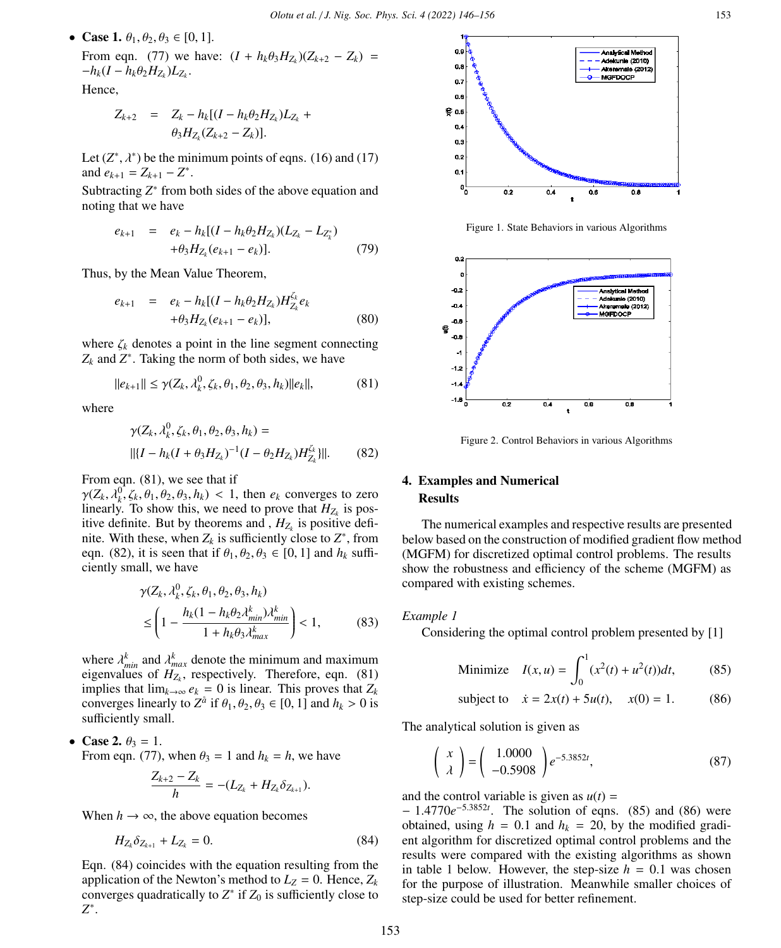• Case 1.  $\theta_1, \theta_2, \theta_3 \in [0, 1]$ . From eqn. (77) we have:  $(I + h_k \theta_3 H_{Z_k})(Z_{k+2} - Z_k) = -h_k(I - h_k \theta_3 H_{Z_k})$  $-h_k(I - h_k\theta_2H_{Z_k})L_{Z_k}.$ <br>  $H_{\text{max}}$ 

Hence,

$$
Z_{k+2} = Z_k - h_k[(I - h_k \theta_2 H_{Z_k})L_{Z_k} + \theta_3 H_{Z_k}(Z_{k+2} - Z_k)].
$$

Let  $(Z^*, \lambda^*)$  be the minimum points of eqns. (16) and (17) and  $e_{k+1} = Z_{k+1} - Z^*$ and  $e_{k+1} = Z_{k+1} - Z^*$ .

Subtracting  $Z^*$  from both sides of the above equation and noting that we have

$$
e_{k+1} = e_k - h_k[(I - h_k \theta_2 H_{Z_k})(L_{Z_k} - L_{Z_k^*}) + \theta_3 H_{Z_k}(e_{k+1} - e_k)].
$$
\n(79)

Thus, by the Mean Value Theorem,

$$
e_{k+1} = e_k - h_k[(I - h_k \theta_2 H_{Z_k}) H_{Z_k}^{L_k} e_k + \theta_3 H_{Z_k}(e_{k+1} - e_k)], \qquad (80)
$$

where  $\zeta_k$  denotes a point in the line segment connecting  $Z_k$  and  $Z^*$ . Taking the norm of both sides, we have

$$
||e_{k+1}|| \leq \gamma(Z_k, \lambda_k^0, \zeta_k, \theta_1, \theta_2, \theta_3, h_k)||e_k||,
$$
 (81)

where

$$
\gamma(Z_k, \lambda_k^0, \zeta_k, \theta_1, \theta_2, \theta_3, h_k) =
$$
  
 
$$
||{I - h_k(I + \theta_3 H_{Z_k})^{-1}(I - \theta_2 H_{Z_k})H_{Z_k}^{\zeta_k}}||. \qquad (82)
$$

From eqn. (81), we see that if

 $\gamma(Z_k, \lambda_k^0, \zeta_k, \theta_1, \theta_2, \theta_3, h_k) < 1$ , then  $e_k$  converges to zero linearly To show this we need to prove that  $H_z$  is poslinearly. To show this, we need to prove that  $H_{Z_k}$  is positive definite. But by theorems and ,  $H_{Z_k}$  is positive definite. With these, when  $Z_k$  is sufficiently close to  $Z^*$ , from eqn. (82), it is seen that if  $\theta_1, \theta_2, \theta_3 \in [0, 1]$  and  $h_k$  sufficiently small, we have

$$
\gamma(Z_k, \lambda_k^0, \zeta_k, \theta_1, \theta_2, \theta_3, h_k)
$$
  
 
$$
\leq \left(1 - \frac{h_k(1 - h_k \theta_2 \lambda_{min}^k) \lambda_{min}^k}{1 + h_k \theta_3 \lambda_{max}^k}\right) < 1,
$$
 (83)

where  $\lambda_{min}^k$  and  $\lambda_{max}^k$  denote the minimum and maximum<br>eigenvalues of  $H_z$  respectively. Therefore, eqn. (81) eigenvalues of  $H_{Z_k}$ , respectively. Therefore, eqn. (81) implies that  $\lim_{k\to\infty} e_k = 0$  is linear. This proves that  $Z_k$ converges linearly to  $Z^{\hat{a}}$  if  $\theta_1, \theta_2, \theta_3 \in [0, 1]$  and  $h_k > 0$  is sufficiently small sufficiently small.

• Case 2.  $\theta_3 = 1$ .

From eqn. (77), when  $\theta_3 = 1$  and  $h_k = h$ , we have

$$
\frac{Z_{k+2}-Z_k}{h}=-(L_{Z_k}+H_{Z_k}\delta_{Z_{k+1}}).
$$

When  $h \to \infty$ , the above equation becomes

$$
H_{Z_k} \delta_{Z_{k+1}} + L_{Z_k} = 0. \tag{84}
$$

Eqn. (84) coincides with the equation resulting from the application of the Newton's method to  $L_z = 0$ . Hence,  $Z_k$ converges quadratically to  $Z^*$  if  $Z_0$  is sufficiently close to *Z* ∗ .



Figure 1. State Behaviors in various Algorithms



Figure 2. Control Behaviors in various Algorithms

# 4. Examples and Numerical Results

The numerical examples and respective results are presented below based on the construction of modified gradient flow method (MGFM) for discretized optimal control problems. The results show the robustness and efficiency of the scheme (MGFM) as compared with existing schemes.

#### *Example 1*

Considering the optimal control problem presented by [1]

Minimize 
$$
I(x, u) = \int_0^1 (x^2(t) + u^2(t))dt,
$$
 (85)

subject to 
$$
\dot{x} = 2x(t) + 5u(t), \quad x(0) = 1.
$$
 (86)

The analytical solution is given as

$$
\begin{pmatrix} x \\ \lambda \end{pmatrix} = \begin{pmatrix} 1.0000 \\ -0.5908 \end{pmatrix} e^{-5.3852t},
$$
 (87)

and the control variable is given as  $u(t)$  =

 $-1.4770e^{-5.3852t}$ . The solution of eqns. (85) and (86) were<br>obtained using  $h = 0.1$  and  $h_k = 20$  by the modified gradiobtained, using  $h = 0.1$  and  $h_k = 20$ , by the modified gradient algorithm for discretized optimal control problems and the results were compared with the existing algorithms as shown in table 1 below. However, the step-size  $h = 0.1$  was chosen for the purpose of illustration. Meanwhile smaller choices of step-size could be used for better refinement.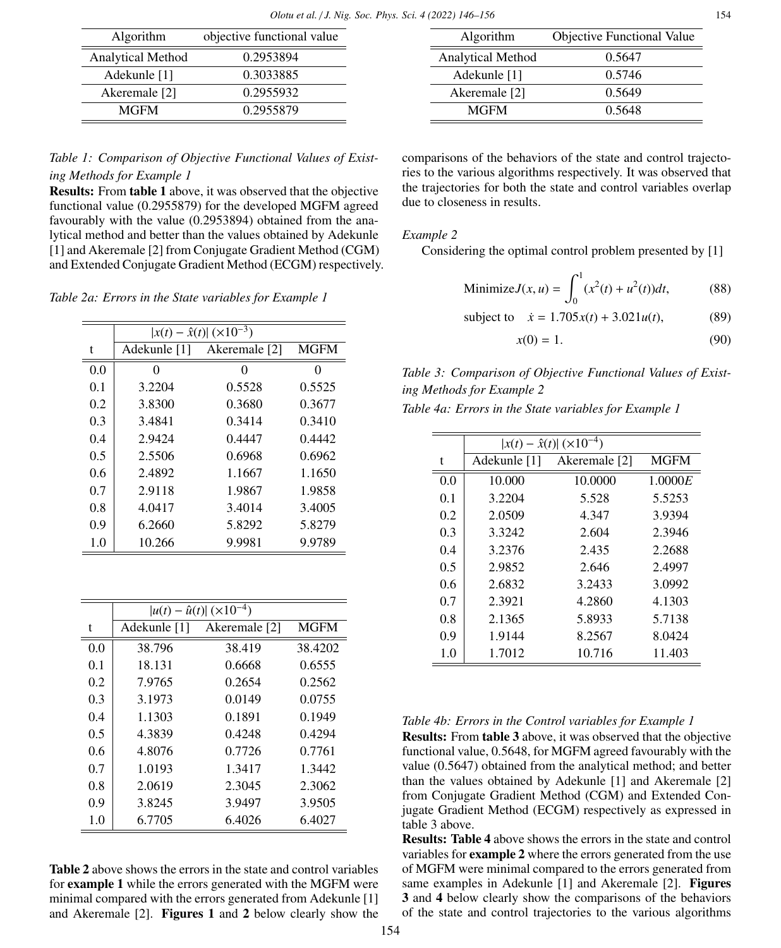| Algorithm         | objective functional value |
|-------------------|----------------------------|
| Analytical Method | 0.2953894                  |
| Adekunle [1]      | 0.3033885                  |
| Akeremale [2]     | 0.2955932                  |
| <b>MGFM</b>       | 0.2955879                  |
|                   |                            |

Algorithm Objective Functional Value Analytical Method 0.5647<br>Adekunle [1] 0.5746 Adekunle [1] 0.5746<br>Akeremale [2] 0.5649 Akeremale [2] 0.5649<br>MGFM 0.5648  $MGFM$ 

# *Table 1: Comparison of Objective Functional Values of Existing Methods for Example 1*

Results: From table 1 above, it was observed that the objective functional value (0.2955879) for the developed MGFM agreed favourably with the value (0.2953894) obtained from the analytical method and better than the values obtained by Adekunle [1] and Akeremale [2] from Conjugate Gradient Method (CGM) and Extended Conjugate Gradient Method (ECGM) respectively.

*Table 2a: Errors in the State variables for Example 1*

|     | $ x(t) - \hat{x}(t)  (\times 10^{-3})$ |                            |             |
|-----|----------------------------------------|----------------------------|-------------|
| t   |                                        | Adekunle [1] Akeremale [2] | <b>MGFM</b> |
| 0.0 | 0                                      | 0                          | 0           |
| 0.1 | 3.2204                                 | 0.5528                     | 0.5525      |
| 0.2 | 3.8300                                 | 0.3680                     | 0.3677      |
| 0.3 | 3.4841                                 | 0.3414                     | 0.3410      |
| 0.4 | 2.9424                                 | 0.4447                     | 0.4442      |
| 0.5 | 2.5506                                 | 0.6968                     | 0.6962      |
| 0.6 | 2.4892                                 | 1.1667                     | 1.1650      |
| 0.7 | 2.9118                                 | 1.9867                     | 1.9858      |
| 0.8 | 4.0417                                 | 3.4014                     | 3.4005      |
| 0.9 | 6.2660                                 | 5.8292                     | 5.8279      |
| 1.0 | 10.266                                 | 9.9981                     | 9.9789      |
|     |                                        |                            |             |

|     | $ u(t) - \hat{u}(t)  (\times 10^{-4})$ |               |             |
|-----|----------------------------------------|---------------|-------------|
| t   | Adekunle [1]                           | Akeremale [2] | <b>MGFM</b> |
| 0.0 | 38.796                                 | 38.419        | 38.4202     |
| 0.1 | 18.131                                 | 0.6668        | 0.6555      |
| 0.2 | 7.9765                                 | 0.2654        | 0.2562      |
| 0.3 | 3.1973                                 | 0.0149        | 0.0755      |
| 0.4 | 1.1303                                 | 0.1891        | 0.1949      |
| 0.5 | 4.3839                                 | 0.4248        | 0.4294      |
| 0.6 | 4.8076                                 | 0.7726        | 0.7761      |
| 0.7 | 1.0193                                 | 1.3417        | 1.3442      |
| 0.8 | 2.0619                                 | 2.3045        | 2.3062      |
| 0.9 | 3.8245                                 | 3.9497        | 3.9505      |
| 1.0 | 6.7705                                 | 6.4026        | 6.4027      |

Table 2 above shows the errors in the state and control variables for example 1 while the errors generated with the MGFM were minimal compared with the errors generated from Adekunle [1] and Akeremale [2]. Figures 1 and 2 below clearly show the

comparisons of the behaviors of the state and control trajectories to the various algorithms respectively. It was observed that the trajectories for both the state and control variables overlap due to closeness in results.

### *Example 2*

Considering the optimal control problem presented by [1]

Minimize 
$$
J(x, u) = \int_0^1 (x^2(t) + u^2(t))dt,
$$
 (88)

subject to  $\dot{x} = 1.705x(t) + 3.021u(t)$ , (89)

$$
x(0) = 1.\tag{90}
$$

*Table 3: Comparison of Objective Functional Values of Existing Methods for Example 2*

|     | $ x(t) - \hat{x}(t)  (\times 10^{-4})$ |               |             |
|-----|----------------------------------------|---------------|-------------|
| t   | Adekunle [1]                           | Akeremale [2] | <b>MGFM</b> |
| 0.0 | 10.000                                 | 10.0000       | 1.0000E     |
| 0.1 | 3.2204                                 | 5.528         | 5.5253      |
| 0.2 | 2,0509                                 | 4.347         | 3.9394      |
| 0.3 | 3.3242                                 | 2.604         | 2.3946      |
| 0.4 | 3.2376                                 | 2.435         | 2.2688      |
| 0.5 | 2.9852                                 | 2.646         | 2.4997      |
| 0.6 | 2.6832                                 | 3.2433        | 3.0992      |
| 0.7 | 2.3921                                 | 4.2860        | 4.1303      |
| 0.8 | 2.1365                                 | 5.8933        | 5.7138      |
| 0.9 | 1.9144                                 | 8.2567        | 8.0424      |
| 1.0 | 1.7012                                 | 10.716        | 11.403      |

### *Table 4b: Errors in the Control variables for Example 1*

Results: From table 3 above, it was observed that the objective functional value, 0.5648, for MGFM agreed favourably with the value (0.5647) obtained from the analytical method; and better than the values obtained by Adekunle [1] and Akeremale [2] from Conjugate Gradient Method (CGM) and Extended Conjugate Gradient Method (ECGM) respectively as expressed in table 3 above.

Results: Table 4 above shows the errors in the state and control variables for example 2 where the errors generated from the use of MGFM were minimal compared to the errors generated from same examples in Adekunle [1] and Akeremale [2]. Figures 3 and 4 below clearly show the comparisons of the behaviors of the state and control trajectories to the various algorithms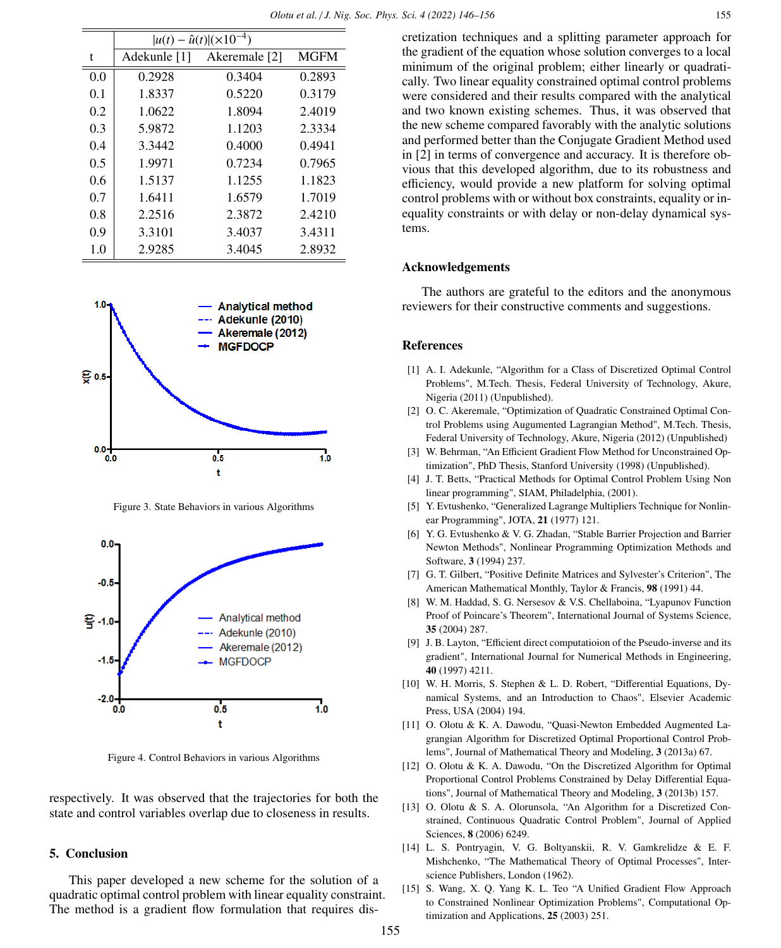|     | $ u(t) - \hat{u}(t)  (\times 10^{-4})$ |               |             |
|-----|----------------------------------------|---------------|-------------|
| t   | Adekunle [1]                           | Akeremale [2] | <b>MGFM</b> |
| 0.0 | 0.2928                                 | 0.3404        | 0.2893      |
| 0.1 | 1.8337                                 | 0.5220        | 0.3179      |
| 0.2 | 1.0622                                 | 1.8094        | 2.4019      |
| 0.3 | 5.9872                                 | 1.1203        | 2.3334      |
| 0.4 | 3.3442                                 | 0.4000        | 0.4941      |
| 0.5 | 1.9971                                 | 0.7234        | 0.7965      |
| 0.6 | 1.5137                                 | 1.1255        | 1.1823      |
| 0.7 | 1.6411                                 | 1.6579        | 1.7019      |
| 0.8 | 2.2516                                 | 2.3872        | 2.4210      |
| 0.9 | 3.3101                                 | 3.4037        | 3.4311      |
| 1.0 | 2.9285                                 | 3.4045        | 2.8932      |



Figure 3. State Behaviors in various Algorithms



Figure 4. Control Behaviors in various Algorithms

respectively. It was observed that the trajectories for both the state and control variables overlap due to closeness in results.

### 5. Conclusion

This paper developed a new scheme for the solution of a quadratic optimal control problem with linear equality constraint. The method is a gradient flow formulation that requires dis-

cretization techniques and a splitting parameter approach for the gradient of the equation whose solution converges to a local minimum of the original problem; either linearly or quadratically. Two linear equality constrained optimal control problems were considered and their results compared with the analytical and two known existing schemes. Thus, it was observed that the new scheme compared favorably with the analytic solutions and performed better than the Conjugate Gradient Method used in [2] in terms of convergence and accuracy. It is therefore obvious that this developed algorithm, due to its robustness and efficiency, would provide a new platform for solving optimal control problems with or without box constraints, equality or inequality constraints or with delay or non-delay dynamical systems.

### Acknowledgements

The authors are grateful to the editors and the anonymous reviewers for their constructive comments and suggestions.

### References

- [1] A. I. Adekunle, "Algorithm for a Class of Discretized Optimal Control Problems", M.Tech. Thesis, Federal University of Technology, Akure, Nigeria (2011) (Unpublished).
- [2] O. C. Akeremale, "Optimization of Quadratic Constrained Optimal Control Problems using Augumented Lagrangian Method", M.Tech. Thesis, Federal University of Technology, Akure, Nigeria (2012) (Unpublished)
- [3] W. Behrman, "An Efficient Gradient Flow Method for Unconstrained Optimization", PhD Thesis, Stanford University (1998) (Unpublished).
- [4] J. T. Betts, "Practical Methods for Optimal Control Problem Using Non linear programming", SIAM, Philadelphia, (2001).
- [5] Y. Evtushenko, "Generalized Lagrange Multipliers Technique for Nonlinear Programming", JOTA, 21 (1977) 121.
- [6] Y. G. Evtushenko & V. G. Zhadan, "Stable Barrier Projection and Barrier Newton Methods", Nonlinear Programming Optimization Methods and Software, 3 (1994) 237.
- [7] G. T. Gilbert, "Positive Definite Matrices and Sylvester's Criterion", The American Mathematical Monthly, Taylor & Francis, 98 (1991) 44.
- [8] W. M. Haddad, S. G. Nersesov & V.S. Chellaboina, "Lyapunov Function Proof of Poincare's Theorem", International Journal of Systems Science, 35 (2004) 287.
- [9] J. B. Layton, "Efficient direct computatioion of the Pseudo-inverse and its gradient", International Journal for Numerical Methods in Engineering, 40 (1997) 4211.
- [10] W. H. Morris, S. Stephen & L. D. Robert, "Differential Equations, Dynamical Systems, and an Introduction to Chaos", Elsevier Academic Press, USA (2004) 194.
- [11] O. Olotu & K. A. Dawodu, "Quasi-Newton Embedded Augmented Lagrangian Algorithm for Discretized Optimal Proportional Control Problems", Journal of Mathematical Theory and Modeling, 3 (2013a) 67.
- [12] O. Olotu & K. A. Dawodu, "On the Discretized Algorithm for Optimal Proportional Control Problems Constrained by Delay Differential Equations", Journal of Mathematical Theory and Modeling, 3 (2013b) 157.
- [13] O. Olotu & S. A. Olorunsola, "An Algorithm for a Discretized Constrained, Continuous Quadratic Control Problem", Journal of Applied Sciences, 8 (2006) 6249.
- [14] L. S. Pontryagin, V. G. Boltyanskii, R. V. Gamkrelidze & E. F. Mishchenko, "The Mathematical Theory of Optimal Processes", Interscience Publishers, London (1962).
- [15] S. Wang, X. Q. Yang K. L. Teo "A Unified Gradient Flow Approach to Constrained Nonlinear Optimization Problems", Computational Optimization and Applications, 25 (2003) 251.